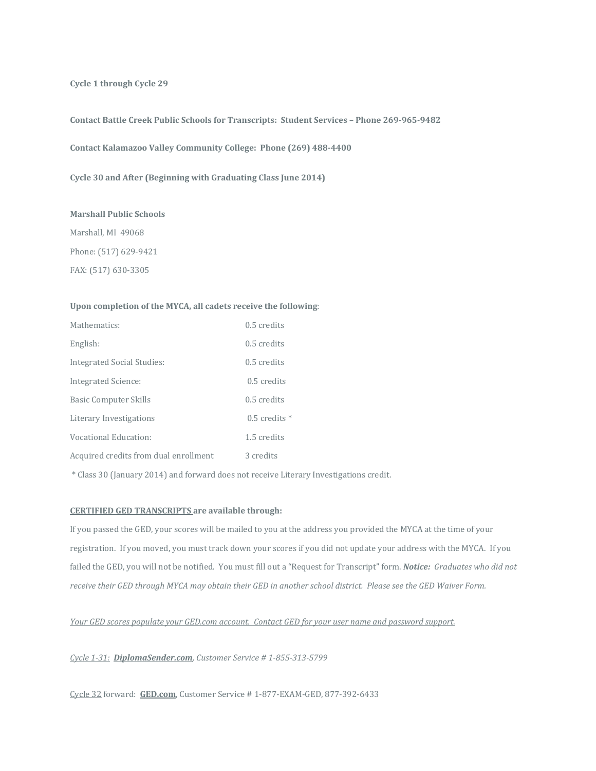**Cycle 1 through Cycle 29**

**Contact Battle Creek Public Schools for Transcripts: Student Services – Phone 269-965-9482**

**Contact Kalamazoo Valley Community College: Phone (269) 488-4400**

**Cycle 30 and After (Beginning with Graduating Class June 2014)**

## **Marshall Public Schools**

Marshall, MI 49068 Phone: (517) 629-9421 FAX: (517) 630-3305

## **Upon completion of the MYCA, all cadets receive the following**:

| Mathematics:                          | $0.5$ credits     |
|---------------------------------------|-------------------|
| English:                              | $0.5$ credits     |
| Integrated Social Studies:            | $0.5$ credits     |
| Integrated Science:                   | 0.5 credits       |
| Basic Computer Skills                 | $0.5$ credits     |
| Literary Investigations               | $0.5$ credits $*$ |
| Vocational Education:                 | 1.5 credits       |
| Acquired credits from dual enrollment | 3 credits         |

\* Class 30 (January 2014) and forward does not receive Literary Investigations credit.

## **CERTIFIED GED TRANSCRIPTS are available through:**

If you passed the GED, your scores will be mailed to you at the address you provided the MYCA at the time of your registration. If you moved, you must track down your scores if you did not update your address with the MYCA. If you failed the GED, you will not be notified. You must fill out a "Request for Transcript" form. *Notice: Graduates who did not receive their GED through MYCA may obtain their GED in another school district. Please see the GED Waiver Form.*

*Your GED scores populate your GED.com account. Contact GED for your user name and password support.*

*Cycle 1-31: DiplomaSender.com, Customer Service # 1-855-313-5799*

Cycle 32 forward: **GED.com**, Customer Service # 1-877-EXAM-GED, 877-392-6433